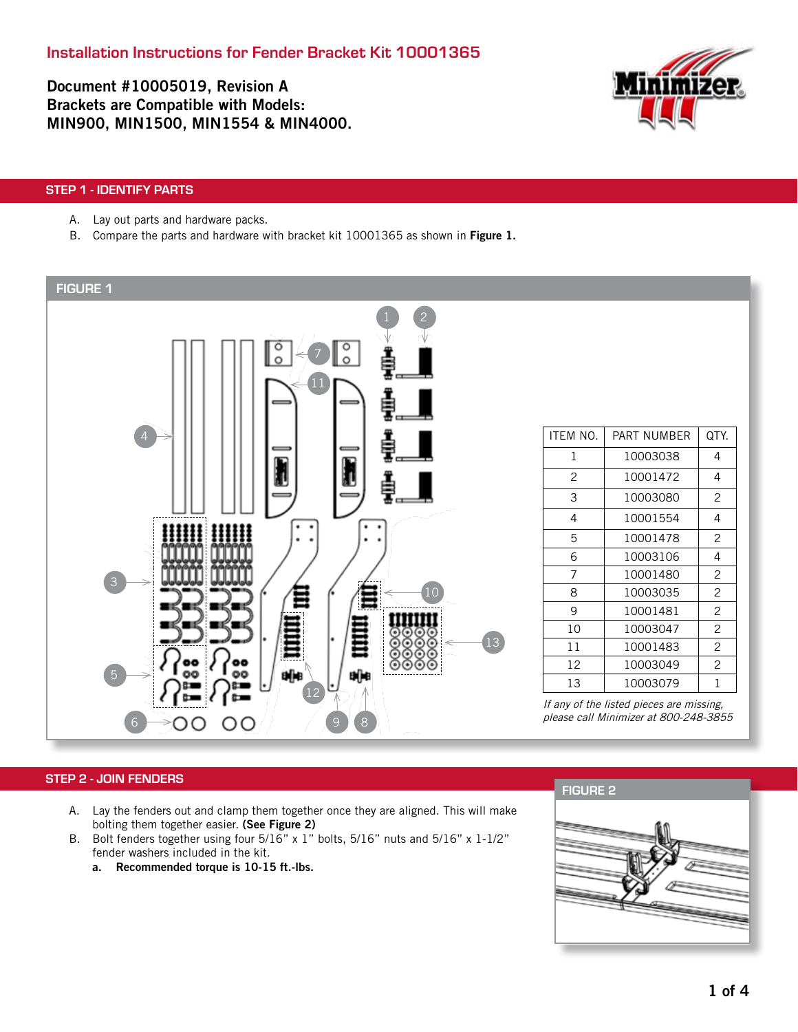Document #10005019, Revision A Brackets are Compatible with Models: MIN900, MIN1500, MIN1554 & MIN4000.



# STEP 1 - IDENTIFY PARTS

- A. Lay out parts and hardware packs.
- B. Compare the parts and hardware with bracket kit 10001365 as shown in Figure 1.



# STEP 2 - JOIN FENDERS

- A. Lay the fenders out and clamp them together once they are aligned. This will make bolting them together easier. (See Figure 2)
- B. Bolt fenders together using four 5/16" x 1" bolts, 5/16" nuts and 5/16" x 1-1/2" fender washers included in the kit.
	- a. Recommended torque is 10-15 ft.-lbs.

FIGURE 2

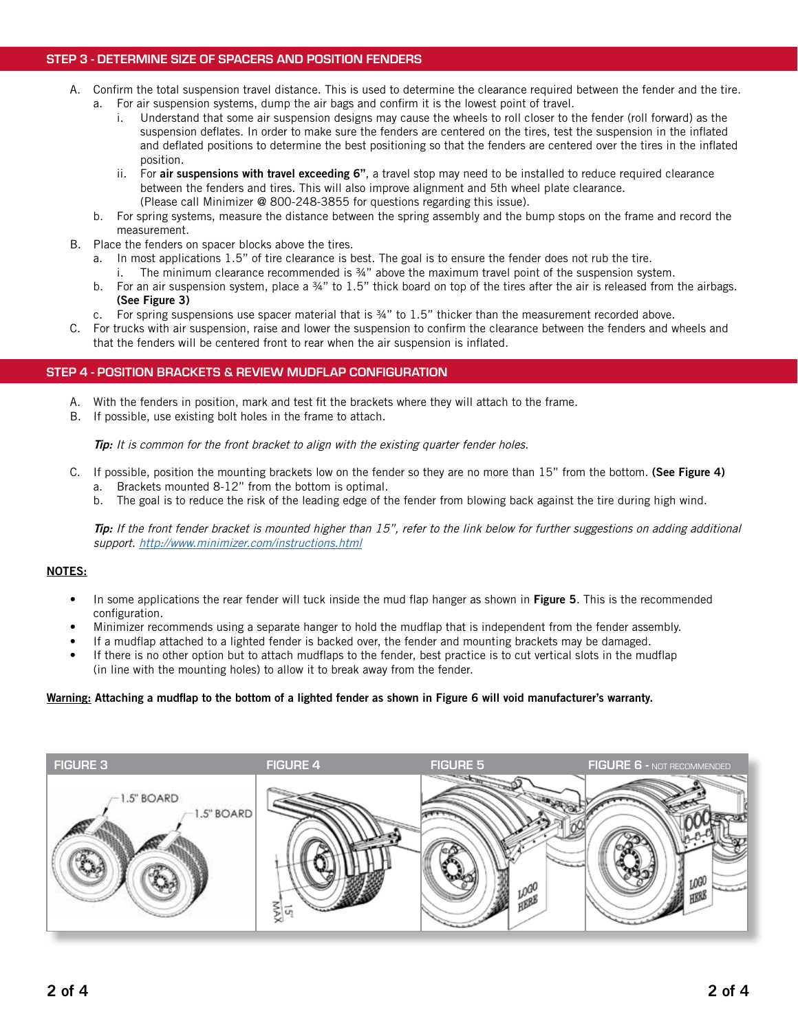# STEP 3 - DETERMINE SIZE OF SPACERS AND POSITION FENDERS

- A. Confirm the total suspension travel distance. This is used to determine the clearance required between the fender and the tire. a. For air suspension systems, dump the air bags and confirm it is the lowest point of travel.
	- i. Understand that some air suspension designs may cause the wheels to roll closer to the fender (roll forward) as the suspension deflates. In order to make sure the fenders are centered on the tires, test the suspension in the inflated and deflated positions to determine the best positioning so that the fenders are centered over the tires in the inflated position.
	- ii. For air suspensions with travel exceeding 6", a travel stop may need to be installed to reduce required clearance between the fenders and tires. This will also improve alignment and 5th wheel plate clearance. (Please call Minimizer @ 800-248-3855 for questions regarding this issue).
	- b. For spring systems, measure the distance between the spring assembly and the bump stops on the frame and record the measurement.
- B. Place the fenders on spacer blocks above the tires.
	- a. In most applications 1.5" of tire clearance is best. The goal is to ensure the fender does not rub the tire. i. The minimum clearance recommended is ¾" above the maximum travel point of the suspension system.
	- b. For an air suspension system, place a  $\frac{3}{4}$ " to 1.5" thick board on top of the tires after the air is released from the airbags. (See Figure 3)
	- c. For spring suspensions use spacer material that is ¾" to 1.5" thicker than the measurement recorded above.
- C. For trucks with air suspension, raise and lower the suspension to confirm the clearance between the fenders and wheels and that the fenders will be centered front to rear when the air suspension is inflated.

#### STEP 4 - POSITION BRACKETS & REVIEW MUDFLAP CONFIGURATION

- A. With the fenders in position, mark and test fit the brackets where they will attach to the frame.
- B. If possible, use existing bolt holes in the frame to attach.

Tip: It is common for the front bracket to align with the existing quarter fender holes.

- C. If possible, position the mounting brackets low on the fender so they are no more than 15" from the bottom. (See Figure 4) a. Brackets mounted 8-12" from the bottom is optimal.
	- b. The goal is to reduce the risk of the leading edge of the fender from blowing back against the tire during high wind.

Tip: If the front fender bracket is mounted higher than 15", refer to the link below for further suggestions on adding additional support. http://www.minimizer.com/instructions.html

#### NOTES:

- In some applications the rear fender will tuck inside the mud flap hanger as shown in Figure 5. This is the recommended configuration.
- Minimizer recommends using a separate hanger to hold the mudflap that is independent from the fender assembly.
- If a mudflap attached to a lighted fender is backed over, the fender and mounting brackets may be damaged.
- If there is no other option but to attach mudflaps to the fender, best practice is to cut vertical slots in the mudflap (in line with the mounting holes) to allow it to break away from the fender.

#### Warning: Attaching a mudflap to the bottom of a lighted fender as shown in Figure 6 will void manufacturer's warranty.

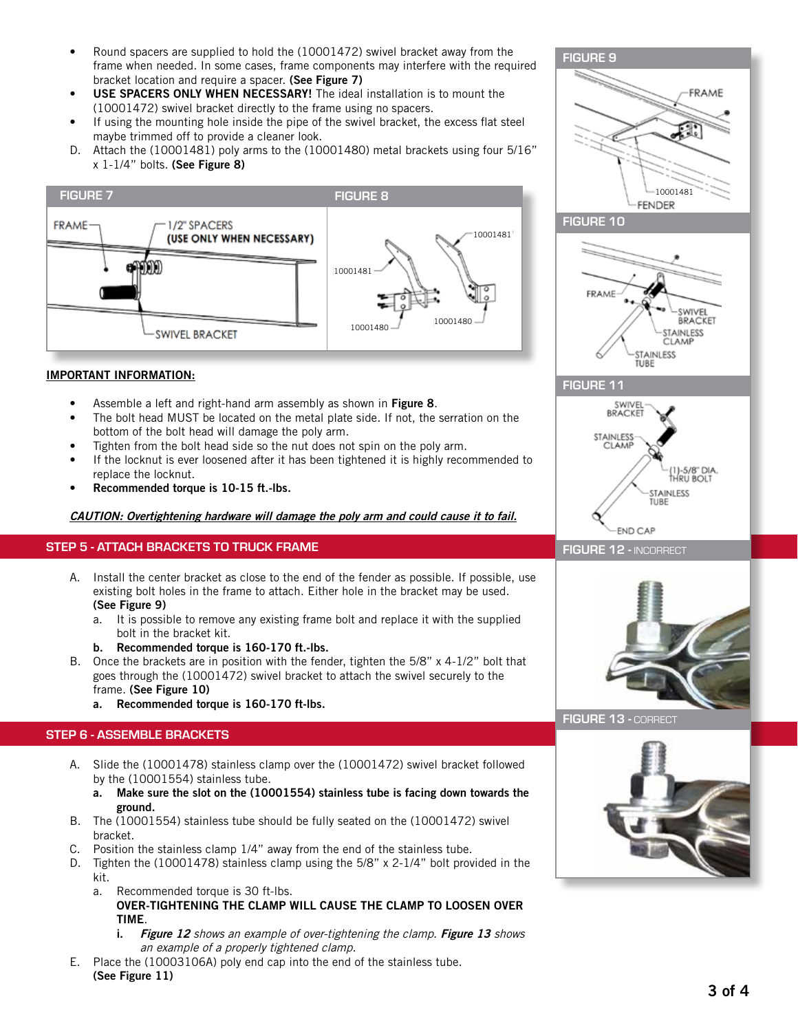- Round spacers are supplied to hold the (10001472) swivel bracket away from the frame when needed. In some cases, frame components may interfere with the required bracket location and require a spacer. (See Figure 7)
- USE SPACERS ONLY WHEN NECESSARY! The ideal installation is to mount the (10001472) swivel bracket directly to the frame using no spacers.
- If using the mounting hole inside the pipe of the swivel bracket, the excess flat steel maybe trimmed off to provide a cleaner look.
- D. Attach the (10001481) poly arms to the (10001480) metal brackets using four 5/16" x 1-1/4" bolts. (See Figure 8)



# IMPORTANT INFORMATION:

- Assemble a left and right-hand arm assembly as shown in Figure 8.
- The bolt head MUST be located on the metal plate side. If not, the serration on the bottom of the bolt head will damage the poly arm.
- Tighten from the bolt head side so the nut does not spin on the poly arm.
- If the locknut is ever loosened after it has been tightened it is highly recommended to replace the locknut.
- Recommended torque is 10-15 ft.-lbs.

CAUTION: Overtightening hardware will damage the poly arm and could cause it to fail.

## STEP 5 - ATTACH BRACKETS TO TRUCK FRAME

- A. Install the center bracket as close to the end of the fender as possible. If possible, use existing bolt holes in the frame to attach. Either hole in the bracket may be used. (See Figure 9)
	- a. It is possible to remove any existing frame bolt and replace it with the supplied bolt in the bracket kit.
	- b. Recommended torque is 160-170 ft.-lbs.
- B. Once the brackets are in position with the fender, tighten the 5/8" x 4-1/2" bolt that goes through the (10001472) swivel bracket to attach the swivel securely to the frame. (See Figure 10)
	- a. Recommended torque is 160-170 ft-lbs.

# STEP 6 - ASSEMBLE BRACKETS

- A. Slide the (10001478) stainless clamp over the (10001472) swivel bracket followed by the (10001554) stainless tube.
	- a. Make sure the slot on the (10001554) stainless tube is facing down towards the ground.
- B. The (10001554) stainless tube should be fully seated on the (10001472) swivel bracket.
- C. Position the stainless clamp 1/4" away from the end of the stainless tube.
- D. Tighten the (10001478) stainless clamp using the  $5/8$ " x 2-1/4" bolt provided in the kit.
	- a. Recommended torque is 30 ft-lbs.
		- OVER-TIGHTENING THE CLAMP WILL CAUSE THE CLAMP TO LOOSEN OVER TIME.
		- i. Figure 12 shows an example of over-tightening the clamp. Figure 13 shows an example of a properly tightened clamp.
- E. Place the (10003106A) poly end cap into the end of the stainless tube. (See Figure 11)





FIGURE 11



#### FIGURE 12 - INCORRECT



#### FIGURE 13 - CORRECT